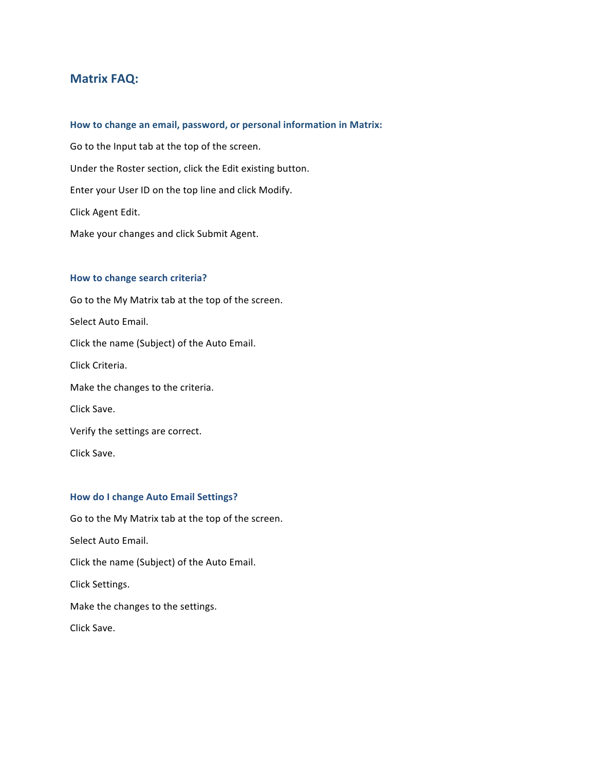# **Matrix FAQ:**

## How to change an email, password, or personal information in Matrix:

Go to the Input tab at the top of the screen. Under the Roster section, click the Edit existing button. Enter your User ID on the top line and click Modify. Click Agent Edit. Make your changes and click Submit Agent.

#### **How to change search criteria?**

Go to the My Matrix tab at the top of the screen. Select Auto Email. Click the name (Subject) of the Auto Email. Click Criteria. Make the changes to the criteria. Click Save. Verify the settings are correct. Click Save.

## **How do I change Auto Email Settings?**

Go to the My Matrix tab at the top of the screen. Select Auto Email. Click the name (Subject) of the Auto Email. Click Settings. Make the changes to the settings. Click Save.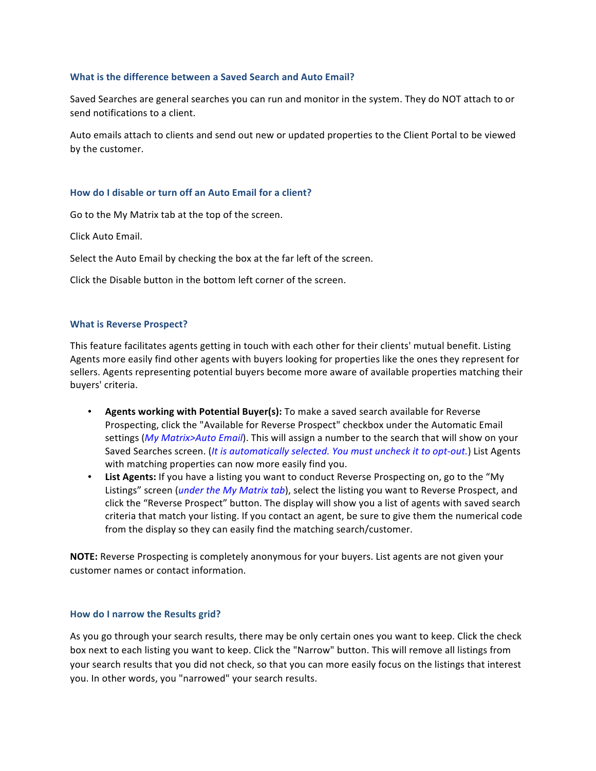## **What is the difference between a Saved Search and Auto Email?**

Saved Searches are general searches you can run and monitor in the system. They do NOT attach to or send notifications to a client.

Auto emails attach to clients and send out new or updated properties to the Client Portal to be viewed by the customer.

# How do I disable or turn off an Auto Email for a client?

Go to the My Matrix tab at the top of the screen.

Click Auto Email.

Select the Auto Email by checking the box at the far left of the screen.

Click the Disable button in the bottom left corner of the screen.

# **What is Reverse Prospect?**

This feature facilitates agents getting in touch with each other for their clients' mutual benefit. Listing Agents more easily find other agents with buyers looking for properties like the ones they represent for sellers. Agents representing potential buyers become more aware of available properties matching their buyers' criteria.

- **Agents working with Potential Buyer(s):** To make a saved search available for Reverse Prospecting, click the "Available for Reverse Prospect" checkbox under the Automatic Email settings (My Matrix>Auto Email). This will assign a number to the search that will show on your Saved Searches screen. (*It is automatically selected. You must uncheck it to opt-out.*) List Agents with matching properties can now more easily find you.
- List Agents: If you have a listing you want to conduct Reverse Prospecting on, go to the "My Listings" screen (*under the My Matrix tab*), select the listing you want to Reverse Prospect, and click the "Reverse Prospect" button. The display will show you a list of agents with saved search criteria that match your listing. If you contact an agent, be sure to give them the numerical code from the display so they can easily find the matching search/customer.

**NOTE:** Reverse Prospecting is completely anonymous for your buyers. List agents are not given your customer names or contact information.

## How do I narrow the Results grid?

As you go through your search results, there may be only certain ones you want to keep. Click the check box next to each listing you want to keep. Click the "Narrow" button. This will remove all listings from your search results that you did not check, so that you can more easily focus on the listings that interest you. In other words, you "narrowed" your search results.